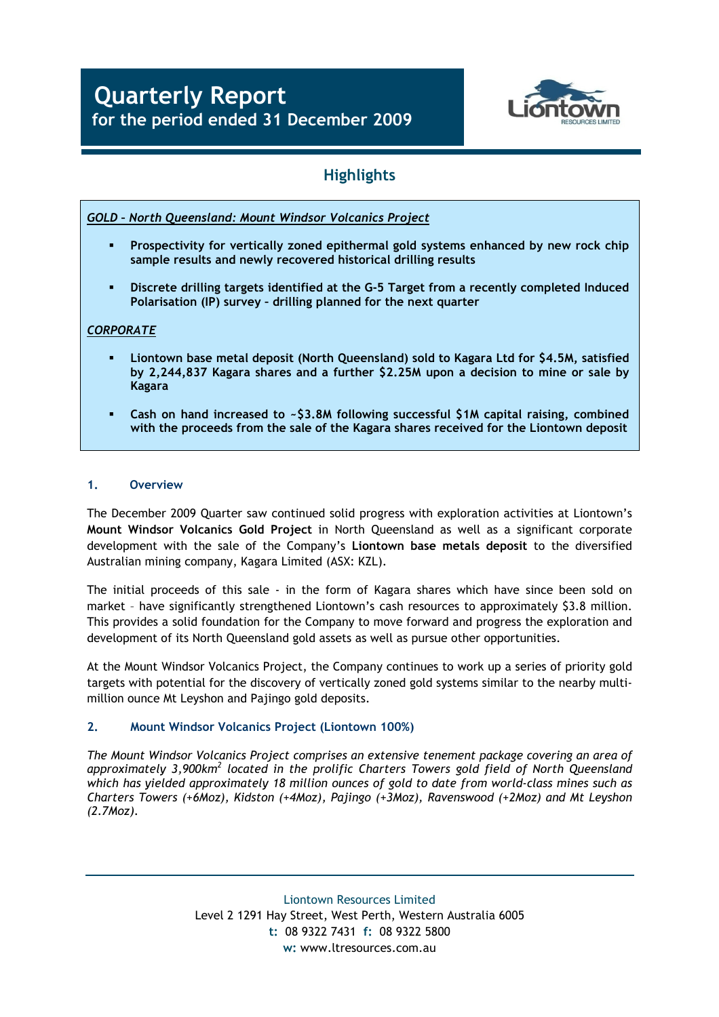

# **Highlights**

### GOLD – North Queensland: Mount Windsor Volcanics Project

- Prospectivity for vertically zoned epithermal gold systems enhanced by new rock chip sample results and newly recovered historical drilling results
- Discrete drilling targets identified at the G-5 Target from a recently completed Induced Polarisation (IP) survey – drilling planned for the next quarter

### **CORPORATE**

- Liontown base metal deposit (North Queensland) sold to Kagara Ltd for \$4.5M, satisfied by 2,244,837 Kagara shares and a further \$2.25M upon a decision to mine or sale by Kagara
- Cash on hand increased to ~\$3.8M following successful \$1M capital raising, combined with the proceeds from the sale of the Kagara shares received for the Liontown deposit

### 1. Overview

The December 2009 Quarter saw continued solid progress with exploration activities at Liontown's Mount Windsor Volcanics Gold Project in North Queensland as well as a significant corporate development with the sale of the Company's Liontown base metals deposit to the diversified Australian mining company, Kagara Limited (ASX: KZL).

The initial proceeds of this sale - in the form of Kagara shares which have since been sold on market – have significantly strengthened Liontown's cash resources to approximately \$3.8 million. This provides a solid foundation for the Company to move forward and progress the exploration and development of its North Queensland gold assets as well as pursue other opportunities.

At the Mount Windsor Volcanics Project, the Company continues to work up a series of priority gold targets with potential for the discovery of vertically zoned gold systems similar to the nearby multimillion ounce Mt Leyshon and Pajingo gold deposits.

### 2. Mount Windsor Volcanics Project (Liontown 100%)

The Mount Windsor Volcanics Project comprises an extensive tenement package covering an area of approximately 3,900km $^2$  located in the prolific Charters Towers gold field of North Queensland which has yielded approximately 18 million ounces of gold to date from world-class mines such as Charters Towers (+6Moz), Kidston (+4Moz), Pajingo (+3Moz), Ravenswood (+2Moz) and Mt Leyshon (2.7Moz).

> Liontown Resources Limited Level 2 1291 Hay Street, West Perth, Western Australia 6005 t: 08 9322 7431 f: 08 9322 5800 w: www.ltresources.com.au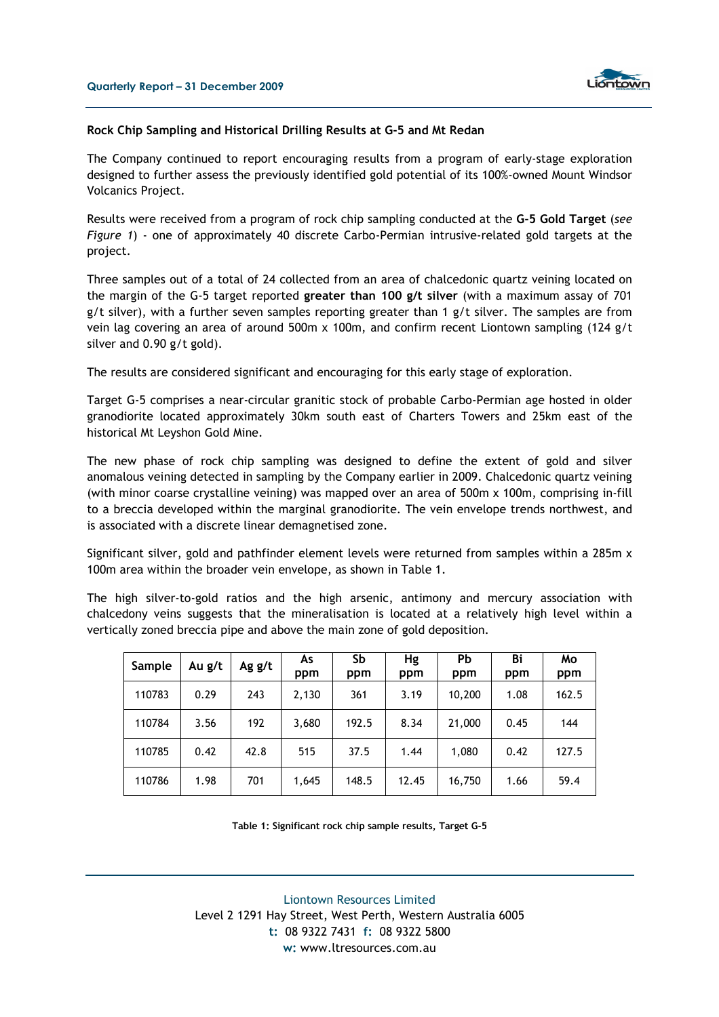

#### Rock Chip Sampling and Historical Drilling Results at G-5 and Mt Redan

The Company continued to report encouraging results from a program of early-stage exploration designed to further assess the previously identified gold potential of its 100%-owned Mount Windsor Volcanics Project.

Results were received from a program of rock chip sampling conducted at the G-5 Gold Target (see Figure 1) - one of approximately 40 discrete Carbo-Permian intrusive-related gold targets at the project.

Three samples out of a total of 24 collected from an area of chalcedonic quartz veining located on the margin of the G-5 target reported greater than 100 g/t silver (with a maximum assay of 701  $g/t$  silver), with a further seven samples reporting greater than 1  $g/t$  silver. The samples are from vein lag covering an area of around 500m x 100m, and confirm recent Liontown sampling (124 g/t silver and 0.90 g/t gold).

The results are considered significant and encouraging for this early stage of exploration.

Target G-5 comprises a near-circular granitic stock of probable Carbo-Permian age hosted in older granodiorite located approximately 30km south east of Charters Towers and 25km east of the historical Mt Leyshon Gold Mine.

The new phase of rock chip sampling was designed to define the extent of gold and silver anomalous veining detected in sampling by the Company earlier in 2009. Chalcedonic quartz veining (with minor coarse crystalline veining) was mapped over an area of 500m x 100m, comprising in-fill to a breccia developed within the marginal granodiorite. The vein envelope trends northwest, and is associated with a discrete linear demagnetised zone.

Significant silver, gold and pathfinder element levels were returned from samples within a 285m x 100m area within the broader vein envelope, as shown in Table 1.

The high silver-to-gold ratios and the high arsenic, antimony and mercury association with chalcedony veins suggests that the mineralisation is located at a relatively high level within a vertically zoned breccia pipe and above the main zone of gold deposition.

| Sample | Au g/t | Ag g/t | As<br>ppm | Sb<br>ppm | Hg<br>ppm | Pb<br>ppm | Bi<br>ppm | Mo<br>ppm |
|--------|--------|--------|-----------|-----------|-----------|-----------|-----------|-----------|
| 110783 | 0.29   | 243    | 2,130     | 361       | 3.19      | 10,200    | 1.08      | 162.5     |
| 110784 | 3.56   | 192    | 3,680     | 192.5     | 8.34      | 21,000    | 0.45      | 144       |
| 110785 | 0.42   | 42.8   | 515       | 37.5      | 1.44      | 1,080     | 0.42      | 127.5     |
| 110786 | 1.98   | 701    | 1,645     | 148.5     | 12.45     | 16,750    | 1.66      | 59.4      |

Table 1: Significant rock chip sample results, Target G-5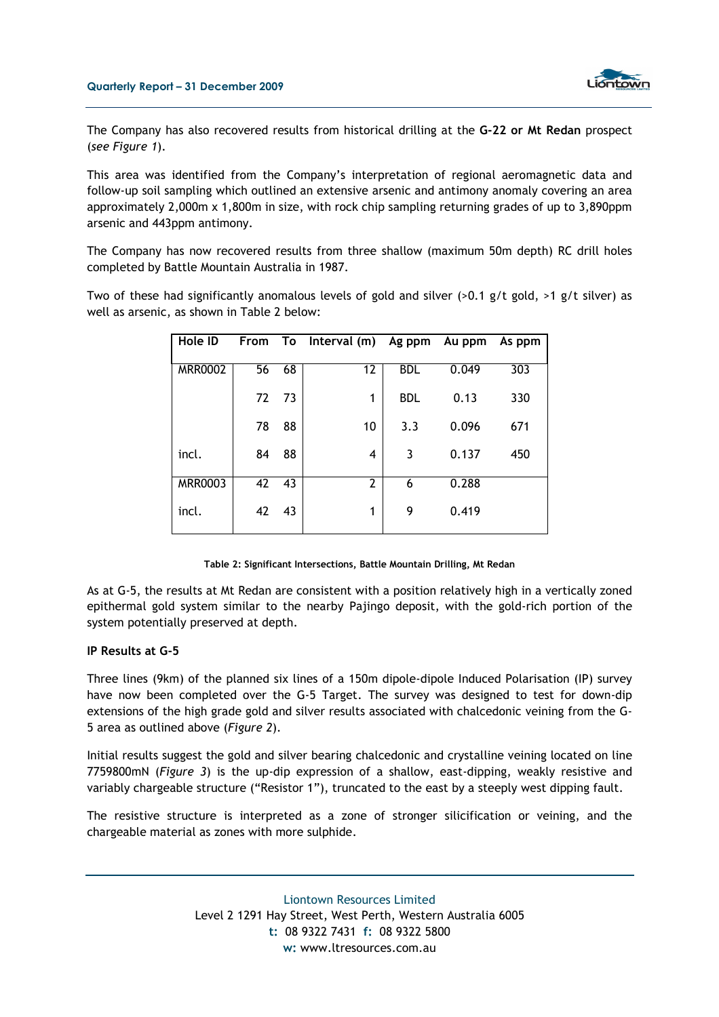

The Company has also recovered results from historical drilling at the G-22 or Mt Redan prospect (see Figure 1).

This area was identified from the Company's interpretation of regional aeromagnetic data and follow-up soil sampling which outlined an extensive arsenic and antimony anomaly covering an area approximately 2,000m x 1,800m in size, with rock chip sampling returning grades of up to 3,890ppm arsenic and 443ppm antimony.

The Company has now recovered results from three shallow (maximum 50m depth) RC drill holes completed by Battle Mountain Australia in 1987.

Two of these had significantly anomalous levels of gold and silver  $(>0.1 \text{ g/t}$  gold,  $>1 \text{ g/t}$  silver) as well as arsenic, as shown in Table 2 below:

| Hole ID        |    |    | From To Interval (m) Ag ppm Au ppm As ppm |            |       |     |
|----------------|----|----|-------------------------------------------|------------|-------|-----|
| <b>MRR0002</b> | 56 | 68 | 12                                        | <b>BDL</b> | 0.049 | 303 |
|                | 72 | 73 | 1                                         | <b>BDL</b> | 0.13  | 330 |
|                | 78 | 88 | 10                                        | 3.3        | 0.096 | 671 |
| incl.          | 84 | 88 | 4                                         | 3          | 0.137 | 450 |
| <b>MRR0003</b> | 42 | 43 | $\mathbf{2}$                              | 6          | 0.288 |     |
| incl.          | 42 | 43 | 1                                         | 9          | 0.419 |     |

### Table 2: Significant Intersections, Battle Mountain Drilling, Mt Redan

As at G-5, the results at Mt Redan are consistent with a position relatively high in a vertically zoned epithermal gold system similar to the nearby Pajingo deposit, with the gold-rich portion of the system potentially preserved at depth.

### IP Results at G-5

Three lines (9km) of the planned six lines of a 150m dipole-dipole Induced Polarisation (IP) survey have now been completed over the G-5 Target. The survey was designed to test for down-dip extensions of the high grade gold and silver results associated with chalcedonic veining from the G-5 area as outlined above (Figure 2).

Initial results suggest the gold and silver bearing chalcedonic and crystalline veining located on line 7759800mN (Figure 3) is the up-dip expression of a shallow, east-dipping, weakly resistive and variably chargeable structure ("Resistor 1"), truncated to the east by a steeply west dipping fault.

The resistive structure is interpreted as a zone of stronger silicification or veining, and the chargeable material as zones with more sulphide.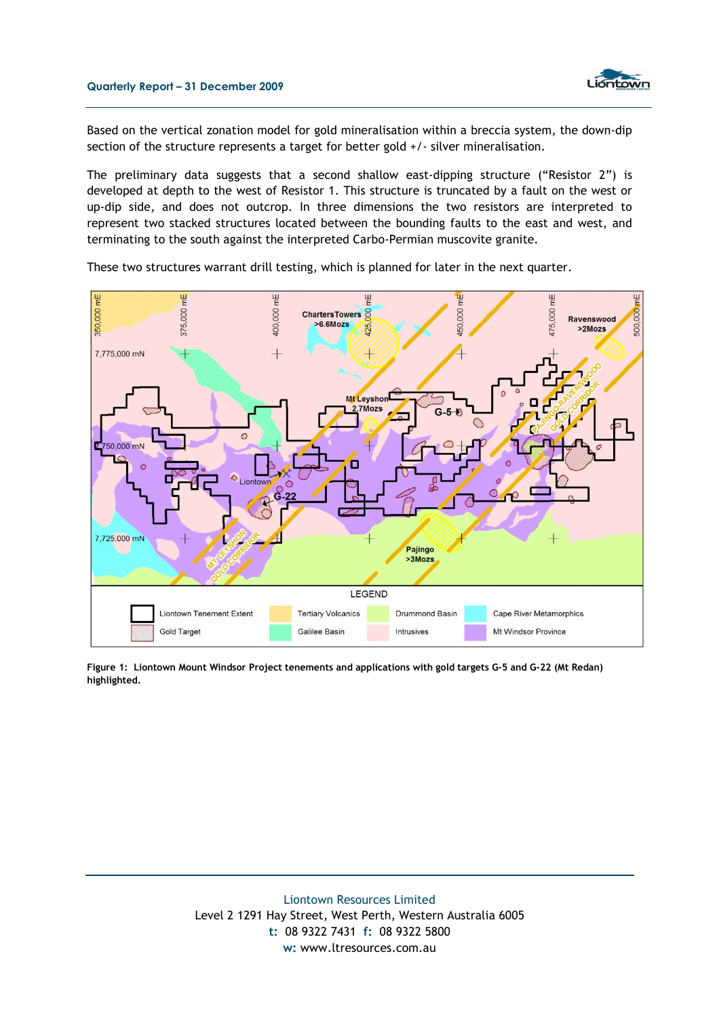

Based on the vertical zonation model for gold mineralisation within a breccia system, the down-dip section of the structure represents a target for better gold +/- silver mineralisation.

The preliminary data suggests that a second shallow east-dipping structure ("Resistor 2") is developed at depth to the west of Resistor 1. This structure is truncated by a fault on the west or up-dip side, and does not outcrop. In three dimensions the two resistors are interpreted to represent two stacked structures located between the bounding faults to the east and west, and terminating to the south against the interpreted Carbo-Permian muscovite granite.

**THE THE** mE μE FE<br>E Έ 50,000 375,000 400,000 150,000 175,000 500,000 DO **Charters Towers** Ravenswood  $>6.6Mozs$  $>2Mozs$ 7.775,000 mN **Mt Levsho**  $7Mozs$ r 750.000 mN 7,725,000 mN Pajingo  $>3Mozs$ **LEGEND** Liontown Tenement Extent **Tertiary Volcanics** Drummond Basin Cape River Metamorphics **Gold Target** Mt Windsor Province Galilee Basin Intrusives

These two structures warrant drill testing, which is planned for later in the next quarter.

Figure 1: Liontown Mount Windsor Project tenements and applications with gold targets G-5 and G-22 (Mt Redan) highlighted.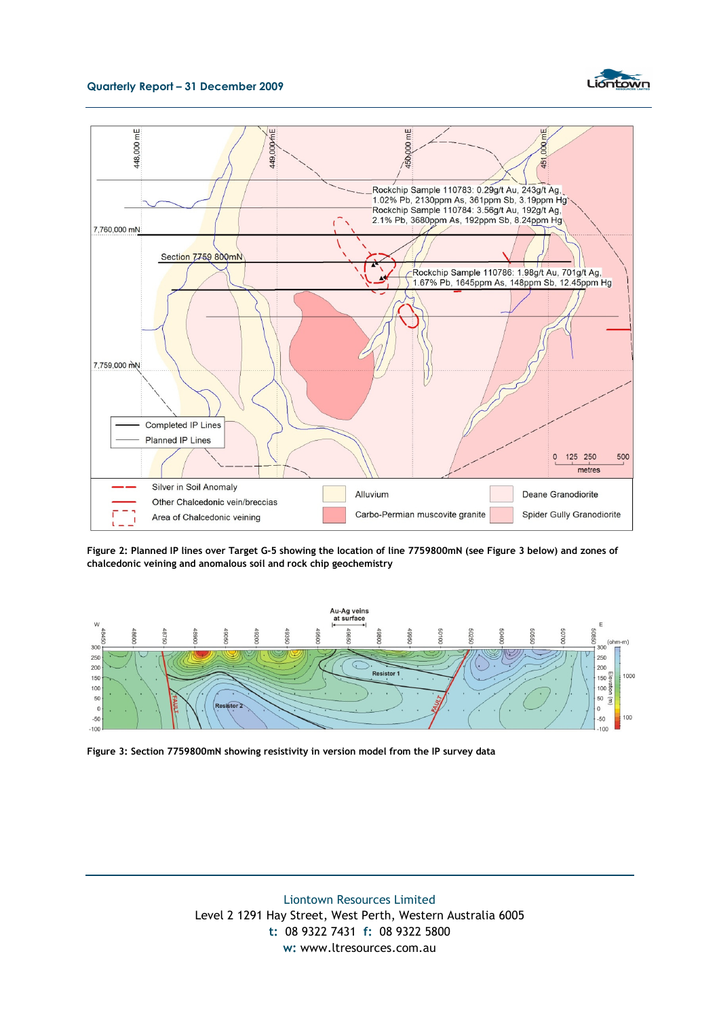#### Quarterly Report – 31 December 2009





Figure 2: Planned IP lines over Target G-5 showing the location of line 7759800mN (see Figure 3 below) and zones of chalcedonic veining and anomalous soil and rock chip geochemistry



Figure 3: Section 7759800mN showing resistivity in version model from the IP survey data

Liontown Resources Limited Level 2 1291 Hay Street, West Perth, Western Australia 6005 t: 08 9322 7431 f: 08 9322 5800 w: www.ltresources.com.au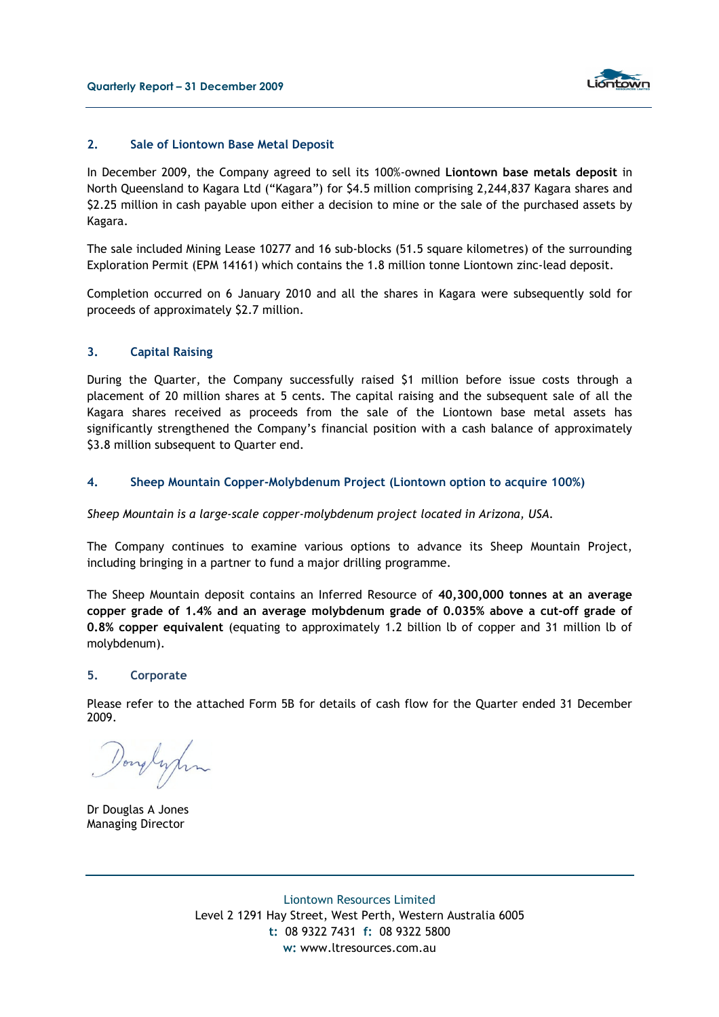

### 2. Sale of Liontown Base Metal Deposit

In December 2009, the Company agreed to sell its 100%-owned Liontown base metals deposit in North Queensland to Kagara Ltd ("Kagara") for \$4.5 million comprising 2,244,837 Kagara shares and \$2.25 million in cash payable upon either a decision to mine or the sale of the purchased assets by Kagara.

The sale included Mining Lease 10277 and 16 sub-blocks (51.5 square kilometres) of the surrounding Exploration Permit (EPM 14161) which contains the 1.8 million tonne Liontown zinc-lead deposit.

Completion occurred on 6 January 2010 and all the shares in Kagara were subsequently sold for proceeds of approximately \$2.7 million.

### 3. Capital Raising

During the Quarter, the Company successfully raised \$1 million before issue costs through a placement of 20 million shares at 5 cents. The capital raising and the subsequent sale of all the Kagara shares received as proceeds from the sale of the Liontown base metal assets has significantly strengthened the Company's financial position with a cash balance of approximately \$3.8 million subsequent to Quarter end.

### 4. Sheep Mountain Copper-Molybdenum Project (Liontown option to acquire 100%)

Sheep Mountain is a large-scale copper-molybdenum project located in Arizona, USA.

The Company continues to examine various options to advance its Sheep Mountain Project, including bringing in a partner to fund a major drilling programme.

The Sheep Mountain deposit contains an Inferred Resource of 40,300,000 tonnes at an average copper grade of 1.4% and an average molybdenum grade of 0.035% above a cut-off grade of 0.8% copper equivalent (equating to approximately 1.2 billion lb of copper and 31 million lb of molybdenum).

### 5. Corporate

Please refer to the attached Form 5B for details of cash flow for the Quarter ended 31 December 2009.

Douglyn

Dr Douglas A Jones Managing Director

Liontown Resources Limited Level 2 1291 Hay Street, West Perth, Western Australia 6005 t: 08 9322 7431 f: 08 9322 5800 w: www.ltresources.com.au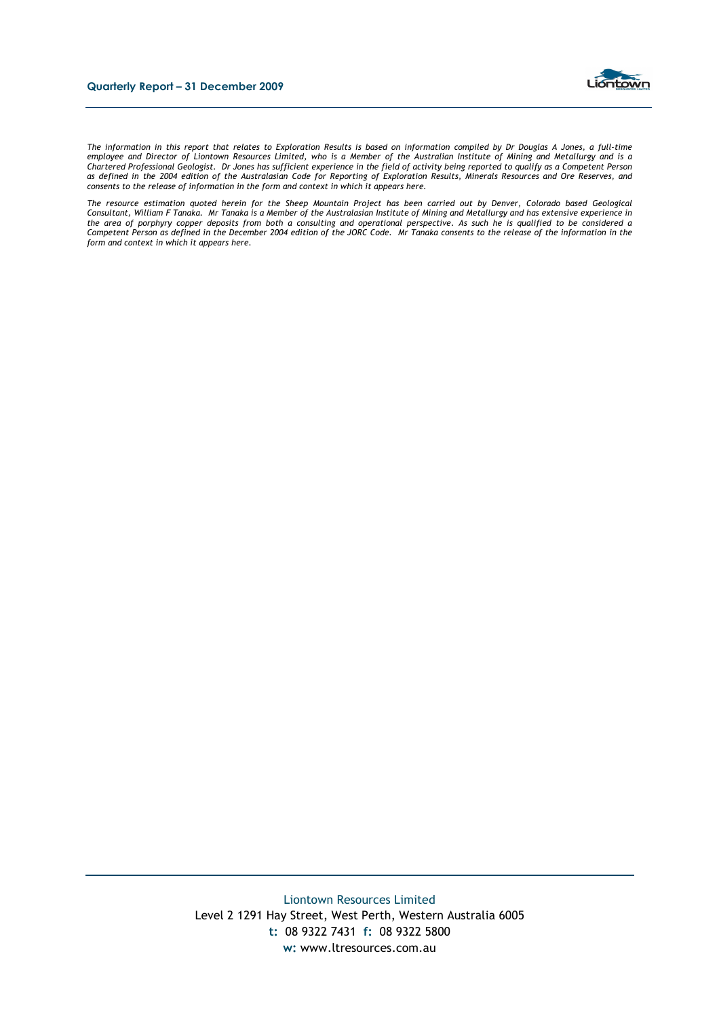

The information in this report that relates to Exploration Results is based on information compiled by Dr Douglas A Jones, a full-time employee and Director of Liontown Resources Limited, who is a Member of the Australian Institute of Mining and Metallurgy and is a Chartered Professional Geologist. Dr Jones has sufficient experience in the field of activity being reported to qualify as a Competent Person as defined in the 2004 edition of the Australasian Code for Reporting of Exploration Results, Minerals Resources and Ore Reserves, and consents to the release of information in the form and context in which it appears here.

The resource estimation quoted herein for the Sheep Mountain Project has been carried out by Denver, Colorado based Geological Consultant, William F Tanaka. Mr Tanaka is a Member of the Australasian Institute of Mining and Metallurgy and has extensive experience in the area of porphyry copper deposits from both a consulting and operational perspective. As such he is qualified to be considered a Competent Person as defined in the December 2004 edition of the JORC Code. Mr Tanaka consents to the release of the information in the form and context in which it appears here.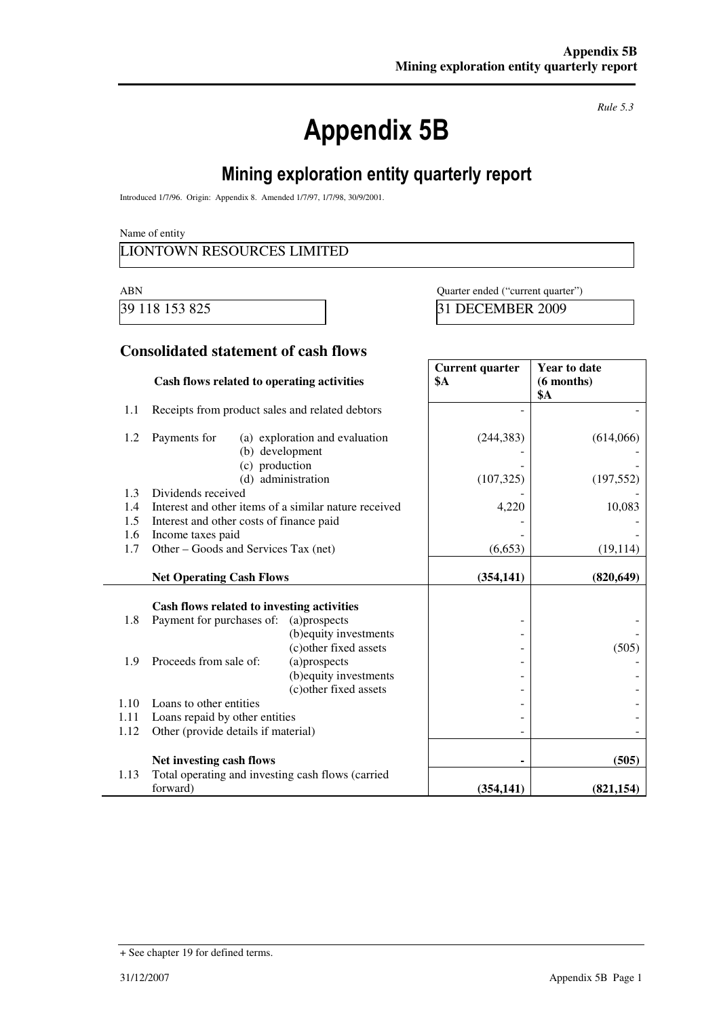# Appendix 5B

*Rule 5.3* 

# Mining exploration entity quarterly report

Introduced 1/7/96. Origin: Appendix 8. Amended 1/7/97, 1/7/98, 30/9/2001.

Name of entity

### LIONTOWN RESOURCES LIMITED

ABN Quarter ended ("current quarter")

39 118 153 825 31 DECEMBER 2009

### **Consolidated statement of cash flows**

|      | Cash flows related to operating activities            |                                | <b>Current quarter</b><br><b>\$A</b> | <b>Year to date</b><br>$(6$ months)<br><b>\$A</b> |
|------|-------------------------------------------------------|--------------------------------|--------------------------------------|---------------------------------------------------|
| 1.1  | Receipts from product sales and related debtors       |                                |                                      |                                                   |
| 1.2  | Payments for<br>(b) development                       | (a) exploration and evaluation | (244, 383)                           | (614,066)                                         |
|      | (c) production                                        | (d) administration             | (107, 325)                           | (197, 552)                                        |
| 1.3  | Dividends received                                    |                                |                                      |                                                   |
| 1.4  | Interest and other items of a similar nature received |                                | 4,220                                | 10,083                                            |
| 1.5  | Interest and other costs of finance paid              |                                |                                      |                                                   |
| 1.6  | Income taxes paid                                     |                                |                                      |                                                   |
| 1.7  | Other – Goods and Services Tax (net)                  |                                | (6, 653)                             | (19, 114)                                         |
|      | <b>Net Operating Cash Flows</b>                       |                                | (354, 141)                           | (820, 649)                                        |
|      | Cash flows related to investing activities            |                                |                                      |                                                   |
| 1.8  | Payment for purchases of:                             | (a)prospects                   |                                      |                                                   |
|      |                                                       | (b) equity investments         |                                      |                                                   |
|      |                                                       | (c) other fixed assets         |                                      | (505)                                             |
| 1.9  | Proceeds from sale of:                                | (a)prospects                   |                                      |                                                   |
|      |                                                       | (b) equity investments         |                                      |                                                   |
|      |                                                       | (c) other fixed assets         |                                      |                                                   |
| 1.10 | Loans to other entities                               |                                |                                      |                                                   |
| 1.11 | Loans repaid by other entities                        |                                |                                      |                                                   |
| 1.12 | Other (provide details if material)                   |                                |                                      |                                                   |
|      | Net investing cash flows                              |                                |                                      | (505)                                             |
| 1.13 | Total operating and investing cash flows (carried     |                                |                                      |                                                   |
|      | forward)                                              |                                | (354, 141)                           | (821, 154)                                        |

<sup>+</sup> See chapter 19 for defined terms.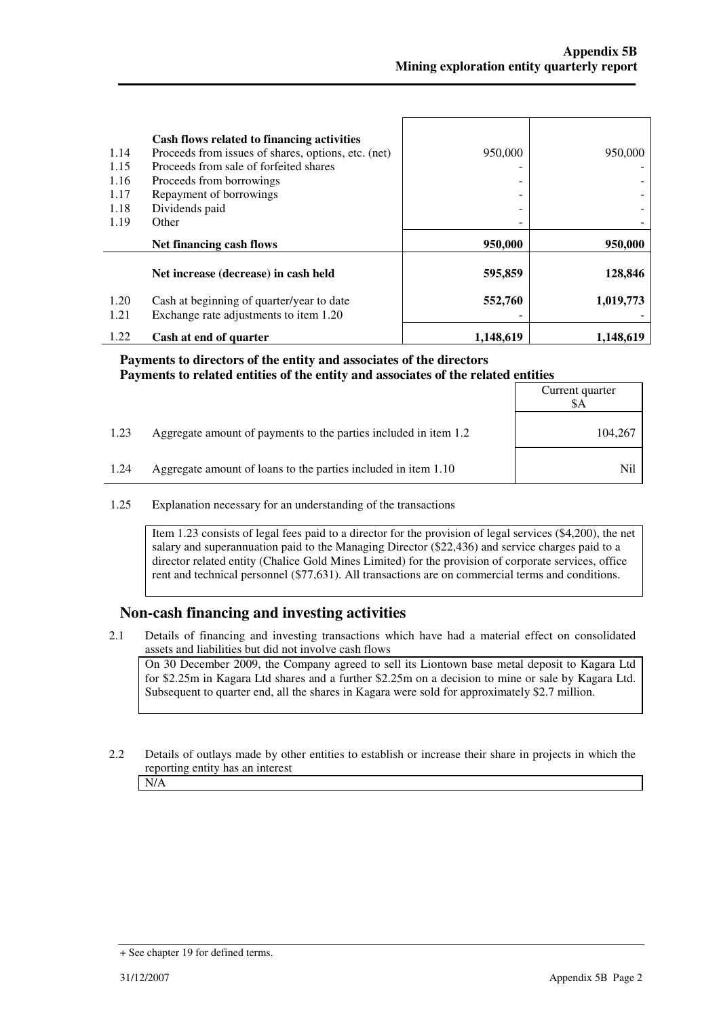| 1.14<br>1.15<br>1.16<br>1.17<br>1.18<br>1.19 | Cash flows related to financing activities<br>Proceeds from issues of shares, options, etc. (net)<br>Proceeds from sale of forfeited shares<br>Proceeds from borrowings<br>Repayment of borrowings<br>Dividends paid<br>Other | 950,000   | 950,000   |
|----------------------------------------------|-------------------------------------------------------------------------------------------------------------------------------------------------------------------------------------------------------------------------------|-----------|-----------|
|                                              | Net financing cash flows                                                                                                                                                                                                      | 950,000   | 950,000   |
|                                              | Net increase (decrease) in cash held                                                                                                                                                                                          | 595,859   | 128,846   |
| 1.20<br>1.21                                 | Cash at beginning of quarter/year to date<br>Exchange rate adjustments to item 1.20                                                                                                                                           | 552,760   | 1,019,773 |
| 1.22                                         | Cash at end of quarter                                                                                                                                                                                                        | 1,148,619 | 1.148.619 |

### **Payments to directors of the entity and associates of the directors Payments to related entities of the entity and associates of the related entities**

|      |                                                                  | Current quarter<br>SΑ |
|------|------------------------------------------------------------------|-----------------------|
| 1.23 | Aggregate amount of payments to the parties included in item 1.2 | 104,267               |
| 1.24 | Aggregate amount of loans to the parties included in item 1.10   | Nil                   |

1.25 Explanation necessary for an understanding of the transactions

Item 1.23 consists of legal fees paid to a director for the provision of legal services (\$4,200), the net salary and superannuation paid to the Managing Director (\$22,436) and service charges paid to a director related entity (Chalice Gold Mines Limited) for the provision of corporate services, office rent and technical personnel (\$77,631). All transactions are on commercial terms and conditions.

### **Non-cash financing and investing activities**

2.1 Details of financing and investing transactions which have had a material effect on consolidated assets and liabilities but did not involve cash flows

 On 30 December 2009, the Company agreed to sell its Liontown base metal deposit to Kagara Ltd for \$2.25m in Kagara Ltd shares and a further \$2.25m on a decision to mine or sale by Kagara Ltd. Subsequent to quarter end, all the shares in Kagara were sold for approximately \$2.7 million.

2.2 Details of outlays made by other entities to establish or increase their share in projects in which the reporting entity has an interest

N/A

<sup>+</sup> See chapter 19 for defined terms.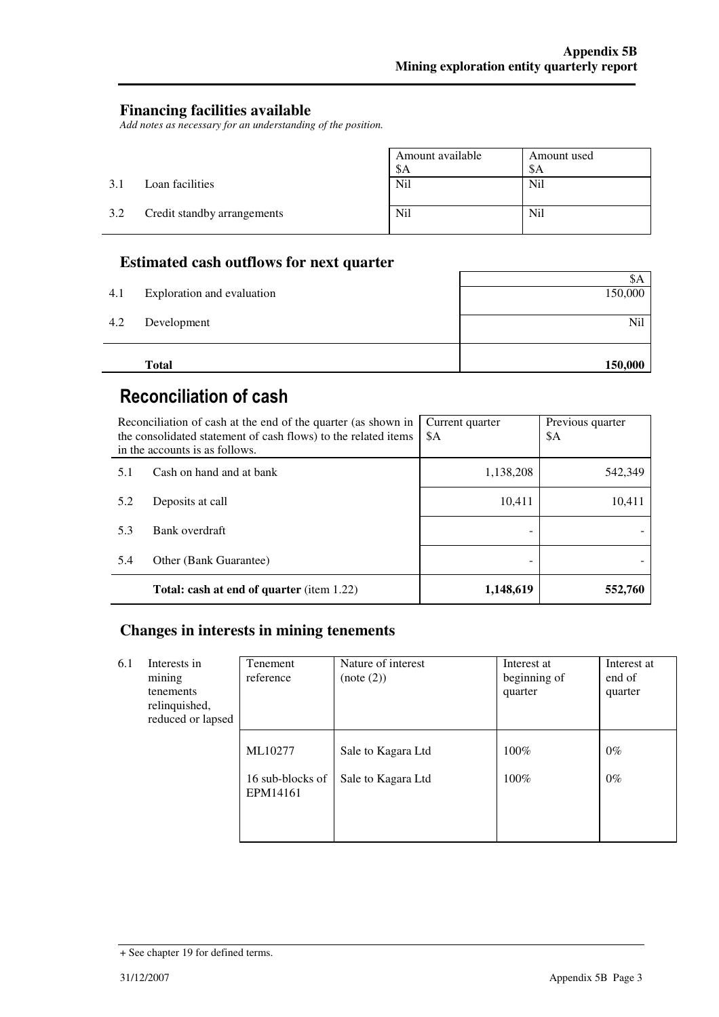### **Financing facilities available**

*Add notes as necessary for an understanding of the position.* 

|     |                             | Amount available<br>\$Α | Amount used<br>\$A |
|-----|-----------------------------|-------------------------|--------------------|
| 3.1 | Loan facilities             | Nil                     | N <sub>il</sub>    |
| 3.2 | Credit standby arrangements | Nil                     | Nil                |

## **Estimated cash outflows for next quarter**

|     | <b>Total</b>               | 150,000                   |
|-----|----------------------------|---------------------------|
| 4.2 | Development                | Nil                       |
| 4.1 | Exploration and evaluation | 150,000                   |
|     |                            | $\mathcal{D} \mathcal{H}$ |

# Reconciliation of cash

|     | Reconciliation of cash at the end of the quarter (as shown in<br>the consolidated statement of cash flows) to the related items<br>in the accounts is as follows. | Current quarter<br>\$A | Previous quarter<br>\$A |
|-----|-------------------------------------------------------------------------------------------------------------------------------------------------------------------|------------------------|-------------------------|
| 5.1 | Cash on hand and at bank                                                                                                                                          | 1,138,208              | 542,349                 |
| 5.2 | Deposits at call                                                                                                                                                  | 10,411                 | 10,411                  |
| 5.3 | Bank overdraft                                                                                                                                                    |                        |                         |
| 5.4 | Other (Bank Guarantee)                                                                                                                                            |                        |                         |
|     | <b>Total: cash at end of quarter</b> (item 1.22)                                                                                                                  | 1,148,619              | 552,760                 |

# **Changes in interests in mining tenements**

| 6.1<br>Interests in<br>mining<br>tenements<br>relinquished,<br>reduced or lapsed | Tenement<br>reference                   | Nature of interest<br>(note (2))         | Interest at<br>beginning of<br>quarter | Interest at<br>end of<br>quarter |
|----------------------------------------------------------------------------------|-----------------------------------------|------------------------------------------|----------------------------------------|----------------------------------|
|                                                                                  | ML10277<br>16 sub-blocks of<br>EPM14161 | Sale to Kagara Ltd<br>Sale to Kagara Ltd | $100\%$<br>$100\%$                     | $0\%$<br>$0\%$                   |

<sup>+</sup> See chapter 19 for defined terms.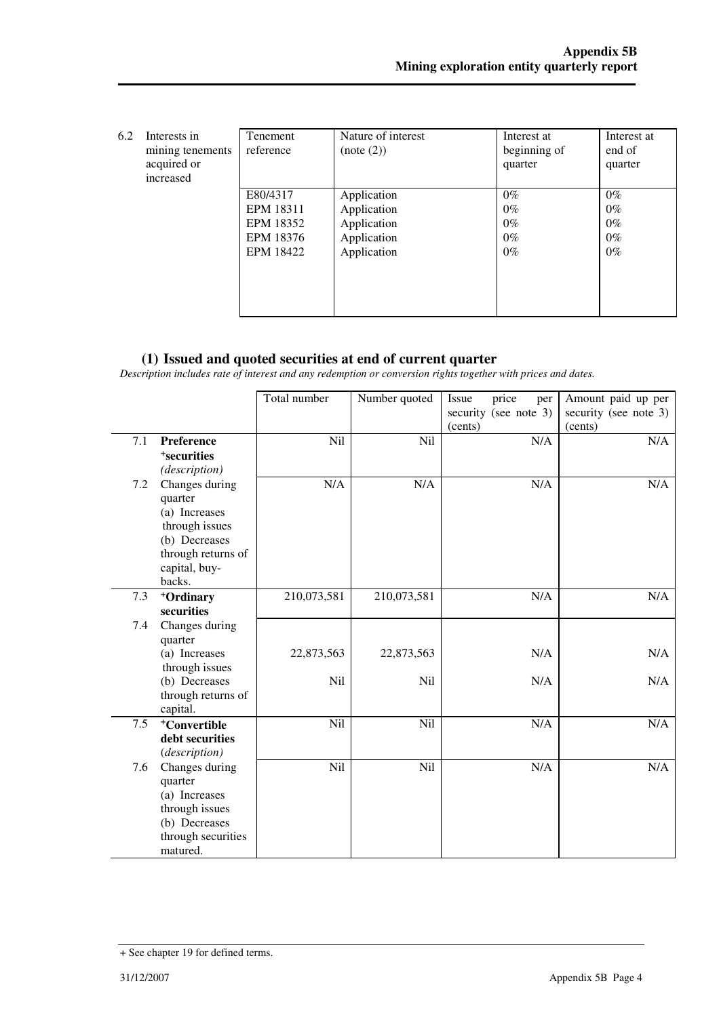| 6.2 | Interests in<br>mining tenements<br>acquired or<br>increased | Tenement<br>reference | Nature of interest<br>(note (2)) | Interest at<br>beginning of<br>quarter | Interest at<br>end of<br>quarter |
|-----|--------------------------------------------------------------|-----------------------|----------------------------------|----------------------------------------|----------------------------------|
|     |                                                              | E80/4317              | Application                      | $0\%$                                  | $0\%$                            |
|     |                                                              | EPM 18311             | Application                      | $0\%$                                  | $0\%$                            |
|     |                                                              | EPM 18352             | Application                      | $0\%$                                  | $0\%$                            |
|     |                                                              | EPM 18376             | Application                      | $0\%$                                  | $0\%$                            |
|     |                                                              | EPM 18422             | Application                      | $0\%$                                  | $0\%$                            |
|     |                                                              |                       |                                  |                                        |                                  |
|     |                                                              |                       |                                  |                                        |                                  |

### **(1) Issued and quoted securities at end of current quarter**

*Description includes rate of interest and any redemption or conversion rights together with prices and dates.* 

|     |                                                                                                                                | Total number | Number quoted | price<br>Issue<br>per<br>security (see note 3)<br>(cents) | Amount paid up per<br>security (see note 3)<br>(cents) |
|-----|--------------------------------------------------------------------------------------------------------------------------------|--------------|---------------|-----------------------------------------------------------|--------------------------------------------------------|
| 7.1 | Preference<br><sup>+</sup> securities<br>(description)                                                                         | Nil          | Nil           | N/A                                                       | N/A                                                    |
| 7.2 | Changes during<br>quarter<br>(a) Increases<br>through issues<br>(b) Decreases<br>through returns of<br>capital, buy-<br>backs. | N/A          | N/A           | N/A                                                       | N/A                                                    |
| 7.3 | <sup>+</sup> Ordinary<br>securities                                                                                            | 210,073,581  | 210,073,581   | N/A                                                       | N/A                                                    |
| 7.4 | Changes during<br>quarter                                                                                                      |              |               |                                                           |                                                        |
|     | (a) Increases<br>through issues                                                                                                | 22,873,563   | 22,873,563    | N/A                                                       | N/A                                                    |
|     | (b) Decreases<br>through returns of<br>capital.                                                                                | Nil          | Nil           | N/A                                                       | N/A                                                    |
| 7.5 | <sup>+</sup> Convertible<br>debt securities<br>(description)                                                                   | Nil          | Nil           | N/A                                                       | N/A                                                    |
| 7.6 | Changes during<br>quarter<br>(a) Increases<br>through issues<br>(b) Decreases<br>through securities<br>matured.                | Nil          | Nil           | N/A                                                       | N/A                                                    |

<sup>+</sup> See chapter 19 for defined terms.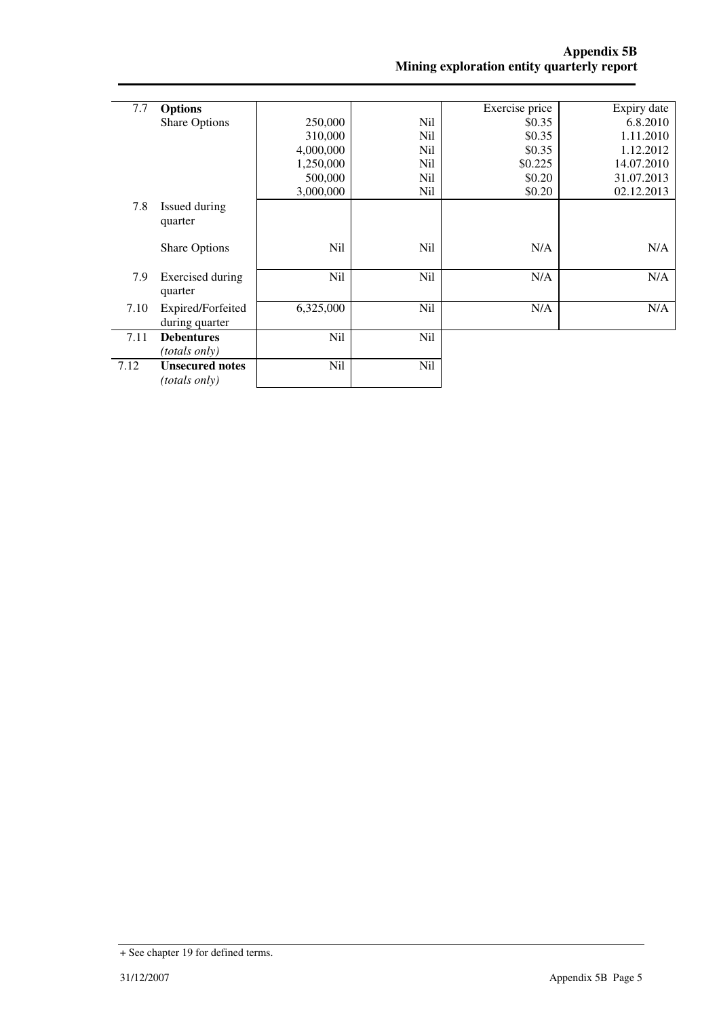| 7.7  | <b>Options</b>          |           |                 | Exercise price | Expiry date |
|------|-------------------------|-----------|-----------------|----------------|-------------|
|      | <b>Share Options</b>    | 250,000   | N <sub>il</sub> | \$0.35         | 6.8.2010    |
|      |                         | 310,000   | N <sub>il</sub> | \$0.35         | 1.11.2010   |
|      |                         | 4,000,000 | N <sub>il</sub> | \$0.35         | 1.12.2012   |
|      |                         | 1,250,000 | Nil             | \$0.225        | 14.07.2010  |
|      |                         | 500,000   | Nil             | \$0.20         | 31.07.2013  |
|      |                         | 3,000,000 | N <sub>il</sub> | \$0.20         | 02.12.2013  |
| 7.8  | Issued during           |           |                 |                |             |
|      | quarter                 |           |                 |                |             |
|      |                         |           |                 |                |             |
|      | Share Options           | Nil       | Nil             | N/A            | N/A         |
|      |                         |           |                 |                |             |
| 7.9  | <b>Exercised</b> during | Nil       | Nil             | N/A            | N/A         |
|      | quarter                 |           |                 |                |             |
| 7.10 | Expired/Forfeited       | 6,325,000 | Nil             | N/A            | N/A         |
|      | during quarter          |           |                 |                |             |
| 7.11 | <b>Debentures</b>       | Nil       | Nil             |                |             |
|      | <i>(totals only)</i>    |           |                 |                |             |
| 7.12 | <b>Unsecured notes</b>  | Nil       | Nil             |                |             |
|      | <i>(totals only)</i>    |           |                 |                |             |
|      |                         |           |                 |                |             |

<sup>+</sup> See chapter 19 for defined terms.